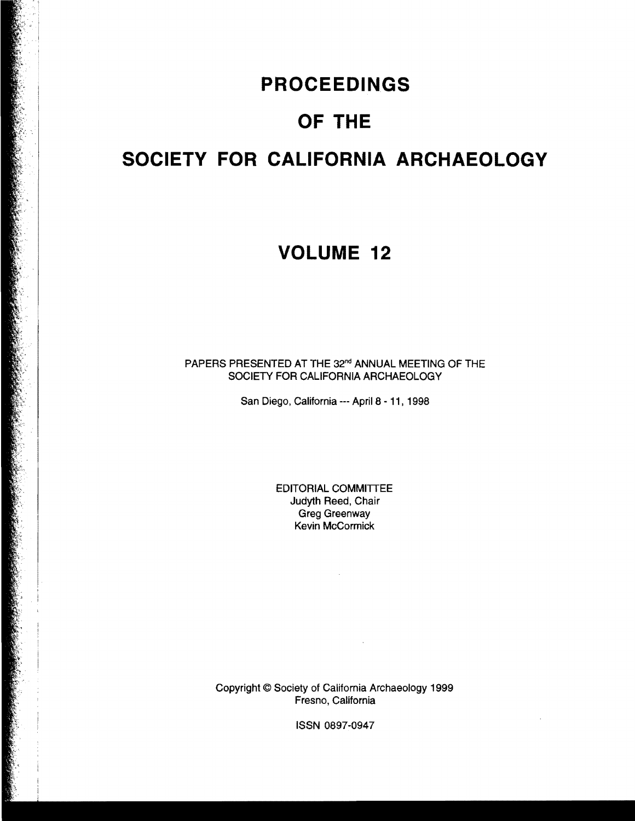# **PROCEEDINGS**

# **OF THE**

# **SOCIETY FOR CALIFORNIA ARCHAEOLOGY**

## **VOLUME 12**

PAPERS PRESENTED AT THE 32<sup>nd</sup> ANNUAL MEETING OF THE SOCIETY FOR CALIFORNIA ARCHAEOLOGY

San Diego, California --- April 8 - 11, 1998

EDITORIAL COMMITTEE Judyth Reed, Chair Greg Greenway Kevin McCormick

 $\sim 10^{-10}$ 

 $\mathcal{L}^{\text{max}}_{\text{max}}$  , where  $\mathcal{L}^{\text{max}}_{\text{max}}$ 

 $\mathcal{A}^{\mathcal{A}}$ 

Copyright © Society of California Archaeology 1999 Fresno, California

ISSN 0897-0947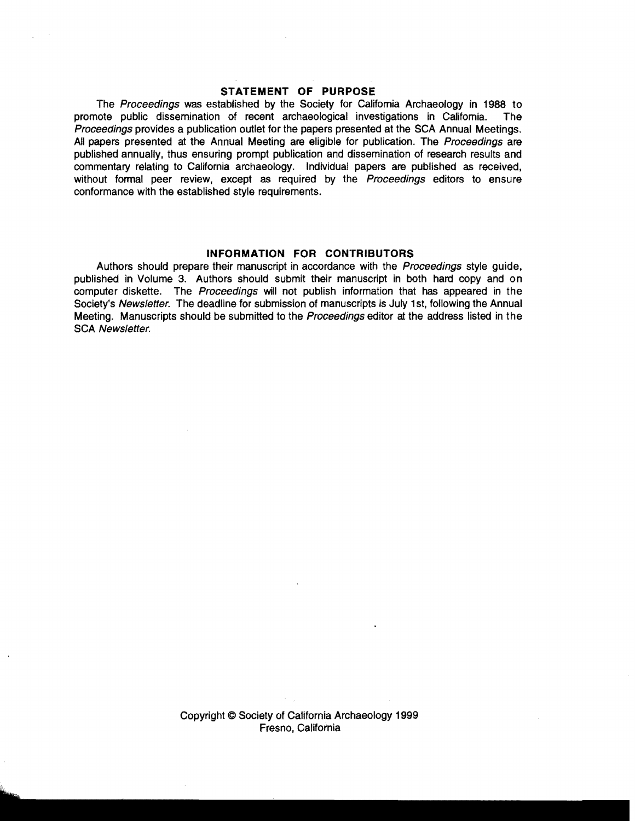#### **STATEMENT OF PURPOSE**

The Proceedings was established by the Society for Califomia Archaeology in 1988 to promote public dissemination of recent archaeological investigations in Califomia. The Proceedings provides a publication outlet for the papers presented at the SCA Annual Meetings. All papers presented at the Annual Meeting are eligible for publication. The Proceedings are published annually, thus ensuring prompt publication and dissemination of research results and commentary relating to Califomia archaeology. Individual papers are published as received, without formal peer review, except as required by the Proceedings editors to ensure conformance with the established style requirements.

#### **INFORMATION FOR CONTRIBUTORS**

Authors should prepare their manuscript in accordance with the *Proceedings* style guide. published in Volume 3. Authors should submit their manuscript in both hard copy and on computer diskette. The Proceedings will not publish information that has appeared in the Society's Newsletter. The deadline for submission of manuscripts is July 1st, following the Annual Meeting. Manuscripts should be submitted to the Proceedings editor at the address listed in the SCA Newsletter.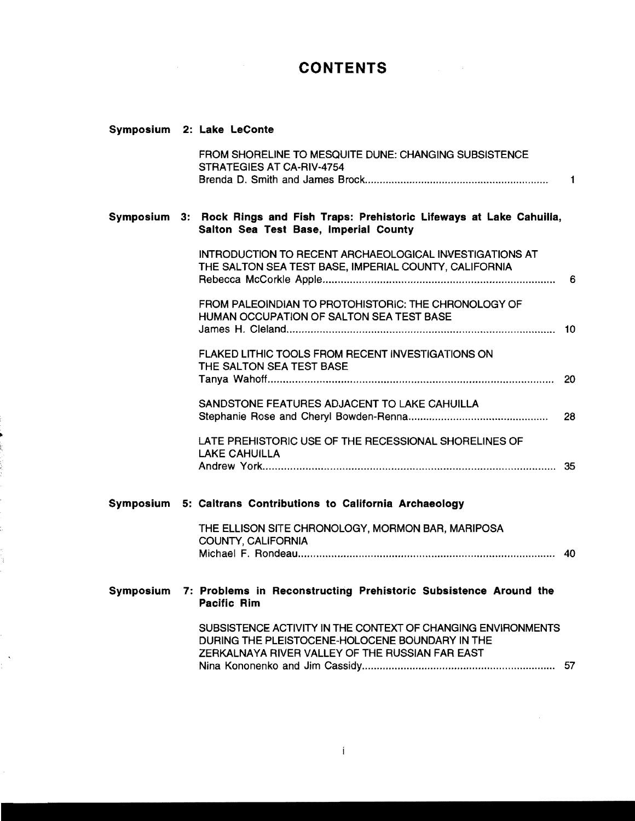## **CONTENTS**

## **Symposium 2: Lake LeConte**

|  | FROM SHORELINE TO MESQUITE DUNE: CHANGING SUBSISTENCE<br>STRATEGIES AT CA-RIV-4754                                                                                 | $\mathbf{1}$ |
|--|--------------------------------------------------------------------------------------------------------------------------------------------------------------------|--------------|
|  | Symposium 3: Rock Rings and Fish Traps: Prehistoric Lifeways at Lake Cahuilla,<br>Salton Sea Test Base, Imperial County                                            |              |
|  | INTRODUCTION TO RECENT ARCHAEOLOGICAL INVESTIGATIONS AT<br>THE SALTON SEA TEST BASE, IMPERIAL COUNTY, CALIFORNIA                                                   |              |
|  | FROM PALEOINDIAN TO PROTOHISTORIC: THE CHRONOLOGY OF<br>HUMAN OCCUPATION OF SALTON SEA TEST BASE                                                                   |              |
|  | FLAKED LITHIC TOOLS FROM RECENT INVESTIGATIONS ON<br>THE SALTON SEA TEST BASE                                                                                      |              |
|  | SANDSTONE FEATURES ADJACENT TO LAKE CAHUILLA                                                                                                                       | 28           |
|  | LATE PREHISTORIC USE OF THE RECESSIONAL SHORELINES OF<br><b>LAKE CAHUILLA</b>                                                                                      |              |
|  | Symposium 5: Caltrans Contributions to California Archaeology                                                                                                      |              |
|  | THE ELLISON SITE CHRONOLOGY, MORMON BAR, MARIPOSA<br>COUNTY, CALIFORNIA                                                                                            |              |
|  | Symposium 7: Problems in Reconstructing Prehistoric Subsistence Around the<br><b>Pacific Rim</b>                                                                   |              |
|  | SUBSISTENCE ACTIVITY IN THE CONTEXT OF CHANGING ENVIRONMENTS<br>DURING THE PLEISTOCENE-HOLOCENE BOUNDARY IN THE<br>ZERKALNAYA RIVER VALLEY OF THE RUSSIAN FAR EAST |              |
|  |                                                                                                                                                                    |              |

 $\sim 10^{-1}$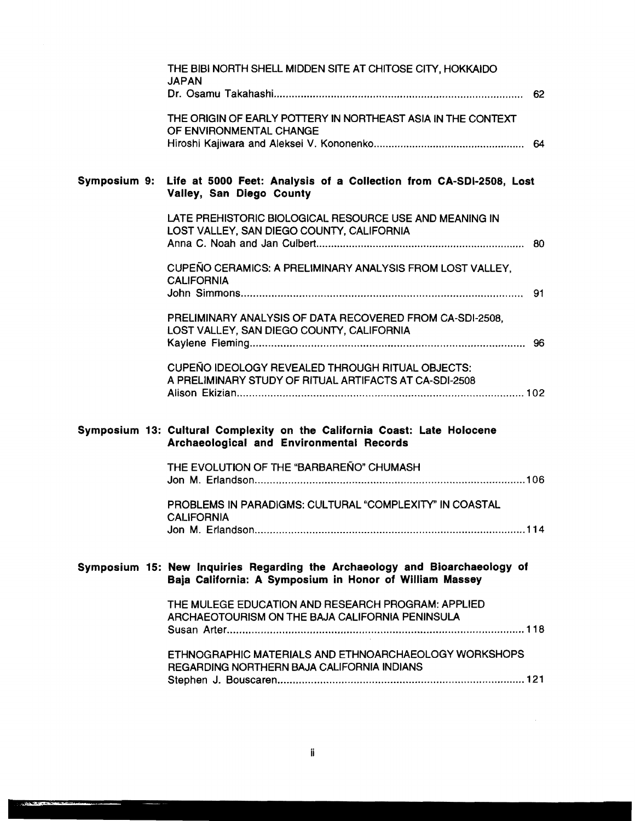|              | THE BIBI NORTH SHELL MIDDEN SITE AT CHITOSE CITY, HOKKAIDO<br><b>JAPAN</b>                                                             |
|--------------|----------------------------------------------------------------------------------------------------------------------------------------|
|              | THE ORIGIN OF EARLY POTTERY IN NORTHEAST ASIA IN THE CONTEXT<br>OF ENVIRONMENTAL CHANGE                                                |
| Symposium 9: | Life at 5000 Feet: Analysis of a Collection from CA-SDI-2508, Lost<br>Valley, San Diego County                                         |
|              | LATE PREHISTORIC BIOLOGICAL RESOURCE USE AND MEANING IN<br>LOST VALLEY, SAN DIEGO COUNTY, CALIFORNIA                                   |
|              | CUPEÑO CERAMICS: A PRELIMINARY ANALYSIS FROM LOST VALLEY,<br><b>CALIFORNIA</b>                                                         |
|              | PRELIMINARY ANALYSIS OF DATA RECOVERED FROM CA-SDI-2508,<br>LOST VALLEY, SAN DIEGO COUNTY, CALIFORNIA                                  |
|              | CUPEÑO IDEOLOGY REVEALED THROUGH RITUAL OBJECTS:<br>A PRELIMINARY STUDY OF RITUAL ARTIFACTS AT CA-SDI-2508                             |
|              | Symposium 13: Cultural Complexity on the California Coast: Late Holocene<br>Archaeological and Environmental Records                   |
|              | THE EVOLUTION OF THE "BARBARENO" CHUMASH                                                                                               |
|              | PROBLEMS IN PARADIGMS: CULTURAL "COMPLEXITY" IN COASTAL<br><b>CALIFORNIA</b>                                                           |
|              | Symposium 15: New Inquiries Regarding the Archaeology and Bioarchaeology of<br>Baja California: A Symposium in Honor of William Massey |
|              | THE MULEGE EDUCATION AND RESEARCH PROGRAM: APPLIED<br>ARCHAEOTOURISM ON THE BAJA CALIFORNIA PENINSULA                                  |
|              | ETHNOGRAPHIC MATERIALS AND ETHNOARCHAEOLOGY WORKSHOPS<br>REGARDING NORTHERN BAJA CALIFORNIA INDIANS                                    |

 $\sim$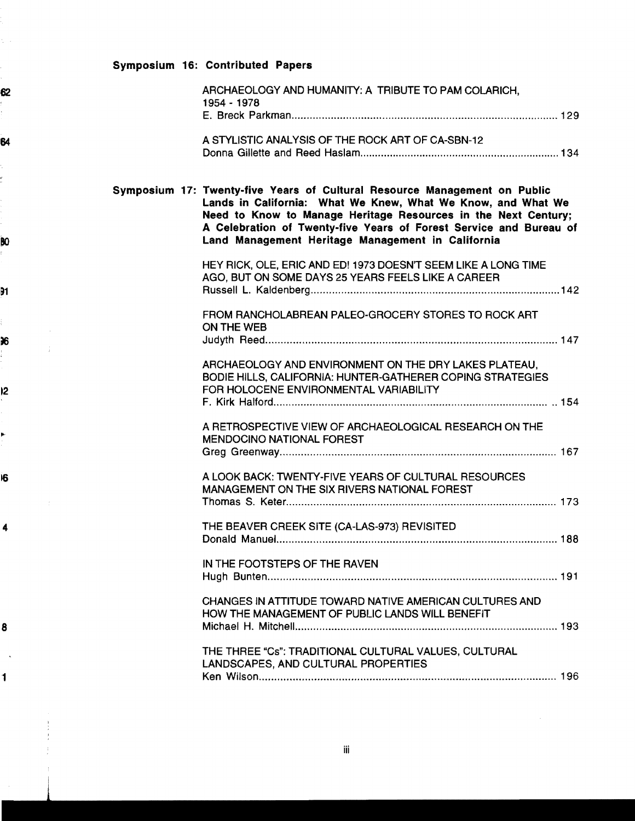## Symposium 16: Contributed Papers

| ARCHAEOLOGY AND HUMANITY: A TRIBUTE TO PAM COLARICH,<br>1954 - 1978                                                                                                                                                                                                                                                                    |
|----------------------------------------------------------------------------------------------------------------------------------------------------------------------------------------------------------------------------------------------------------------------------------------------------------------------------------------|
| A STYLISTIC ANALYSIS OF THE ROCK ART OF CA-SBN-12                                                                                                                                                                                                                                                                                      |
| Symposium 17: Twenty-five Years of Cultural Resource Management on Public<br>Lands in California: What We Knew, What We Know, and What We<br>Need to Know to Manage Heritage Resources in the Next Century;<br>A Celebration of Twenty-five Years of Forest Service and Bureau of<br>Land Management Heritage Management in California |
| HEY RICK, OLE, ERIC AND ED! 1973 DOESN'T SEEM LIKE A LONG TIME<br>AGO, BUT ON SOME DAYS 25 YEARS FEELS LIKE A CAREER                                                                                                                                                                                                                   |
| FROM RANCHOLABREAN PALEO-GROCERY STORES TO ROCK ART<br>ON THE WEB                                                                                                                                                                                                                                                                      |
| ARCHAEOLOGY AND ENVIRONMENT ON THE DRY LAKES PLATEAU.<br>BODIE HILLS, CALIFORNIA: HUNTER-GATHERER COPING STRATEGIES<br>FOR HOLOCENE ENVIRONMENTAL VARIABILITY                                                                                                                                                                          |
| A RETROSPECTIVE VIEW OF ARCHAEOLOGICAL RESEARCH ON THE<br>MENDOCINO NATIONAL FOREST                                                                                                                                                                                                                                                    |
| A LOOK BACK: TWENTY-FIVE YEARS OF CULTURAL RESOURCES<br>MANAGEMENT ON THE SIX RIVERS NATIONAL FOREST                                                                                                                                                                                                                                   |
| THE BEAVER CREEK SITE (CA-LAS-973) REVISITED                                                                                                                                                                                                                                                                                           |
| IN THE FOOTSTEPS OF THE RAVEN                                                                                                                                                                                                                                                                                                          |
| CHANGES IN ATTITUDE TOWARD NATIVE AMERICAN CULTURES AND<br>HOW THE MANAGEMENT OF PUBLIC LANDS WILL BENEFIT                                                                                                                                                                                                                             |
| THE THREE "Cs": TRADITIONAL CULTURAL VALUES, CULTURAL<br>LANDSCAPES, AND CULTURAL PROPERTIES                                                                                                                                                                                                                                           |